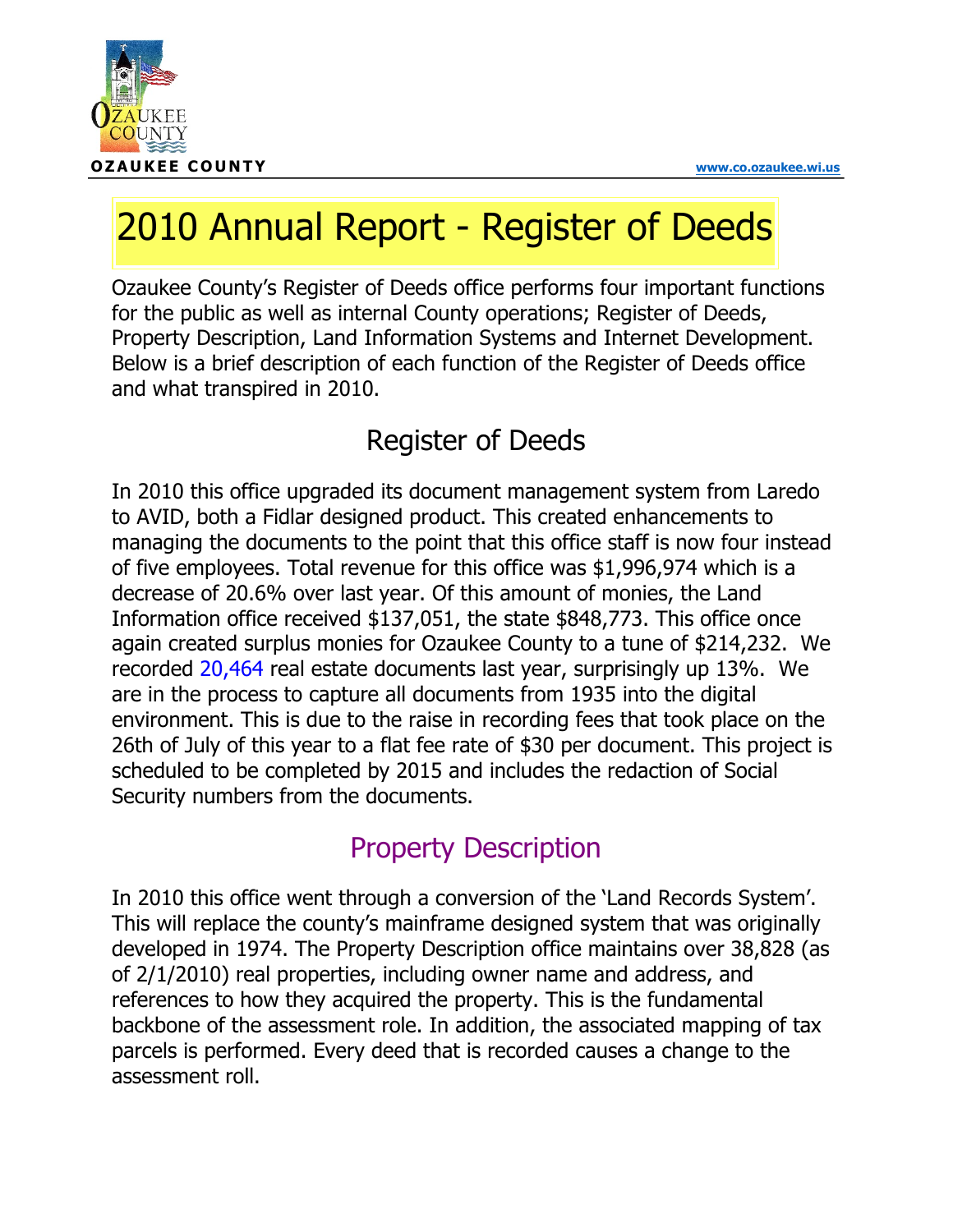

# 2010 Annual Report - Register of Deeds

Ozaukee County's Register of Deeds office performs four important functions for the public as well as internal County operations; Register of Deeds, Property Description, Land Information Systems and Internet Development. Below is a brief description of each function of the Register of Deeds office and what transpired in 2010.

### Register of Deeds

In 2010 this office upgraded its document management system from Laredo to AVID, both a Fidlar designed product. This created enhancements to managing the documents to the point that this office staff is now four instead of five employees. Total revenue for this office was \$1,996,974 which is a decrease of 20.6% over last year. Of this amount of monies, the Land Information office received \$137,051, the state \$848,773. This office once again created surplus monies for Ozaukee County to a tune of \$214,232. We recorded 20,464 real estate documents last year, surprisingly up 13%. We are in the process to capture all documents from 1935 into the digital environment. This is due to the raise in recording fees that took place on the 26th of July of this year to a flat fee rate of \$30 per document. This project is scheduled to be completed by 2015 and includes the redaction of Social Security numbers from the documents.

#### Property Description

In 2010 this office went through a conversion of the 'Land Records System'. This will replace the county's mainframe designed system that was originally developed in 1974. The Property Description office maintains over 38,828 (as of 2/1/2010) real properties, including owner name and address, and references to how they acquired the property. This is the fundamental backbone of the assessment role. In addition, the associated mapping of tax parcels is performed. Every deed that is recorded causes a change to the assessment roll.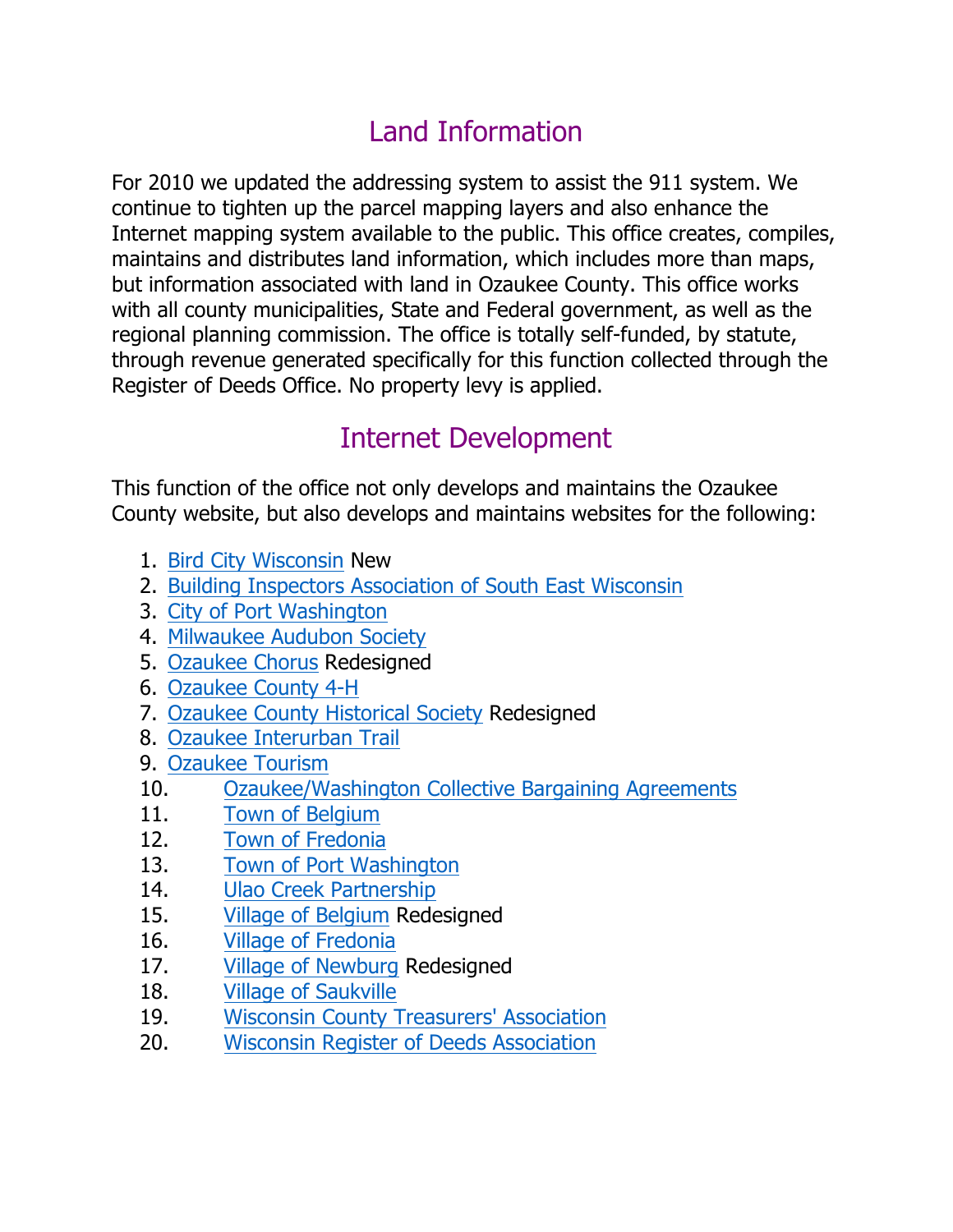### Land Information

For 2010 we updated the addressing system to assist the 911 system. We continue to tighten up the parcel mapping layers and also enhance the Internet mapping system available to the public. This office creates, compiles, maintains and distributes land information, which includes more than maps, but information associated with land in Ozaukee County. This office works with all county municipalities, State and Federal government, as well as the regional planning commission. The office is totally self-funded, by statute, through revenue generated specifically for this function collected through the Register of Deeds Office. No property levy is applied.

#### Internet Development

This function of the office not only develops and maintains the Ozaukee County website, but also develops and maintains websites for the following:

- 1. Bird City Wisconsin New
- 2. Building Inspectors Association of South East Wisconsin
- 3. City of Port Washington
- 4. Milwaukee Audubon Society
- 5. Ozaukee Chorus Redesigned
- 6. Ozaukee County 4-H
- 7. Ozaukee County Historical Society Redesigned
- 8. Ozaukee Interurban Trail
- 9. Ozaukee Tourism
- 10. Ozaukee/Washington Collective Bargaining Agreements
- 11. Town of Belgium
- 12. Town of Fredonia
- 13. Town of Port Washington
- 14. Ulao Creek Partnership
- 15. Village of Belgium Redesigned
- 16. Village of Fredonia
- 17. Village of Newburg Redesigned
- 18. Village of Saukville
- 19. Wisconsin County Treasurers' Association
- 20. Wisconsin Register of Deeds Association